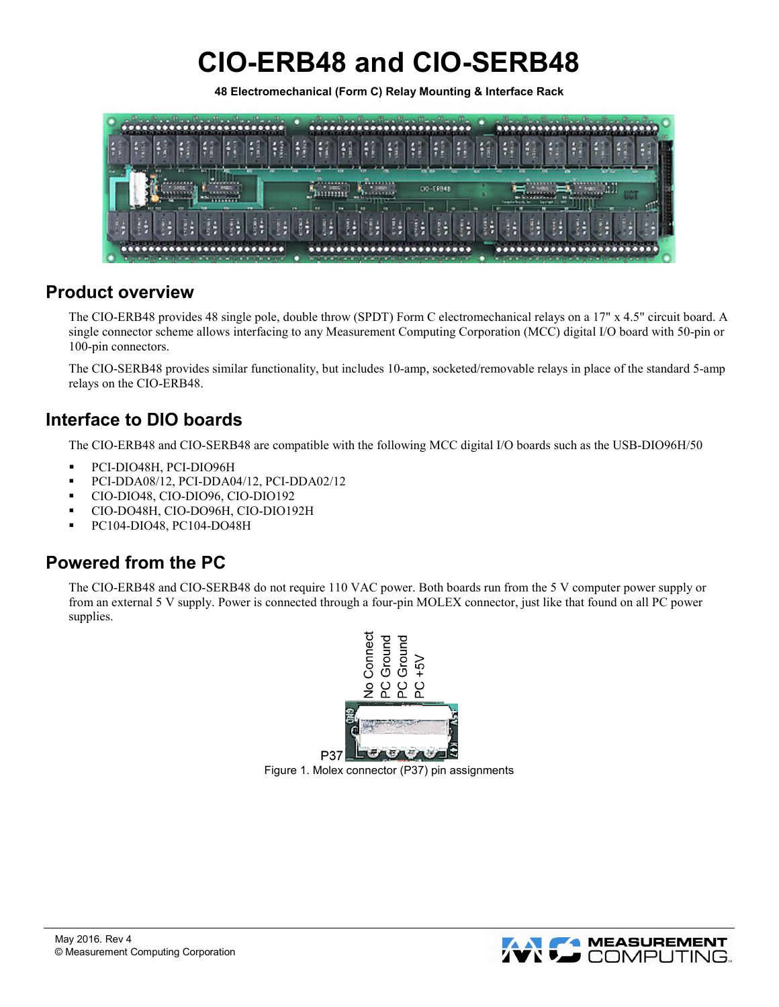# **CIO-ERB48 and CIO-SERB48**

**48 Electromechanical (Form C) Relay Mounting & Interface Rack**



## **Product overview**

The CIO-ERB48 provides 48 single pole, double throw (SPDT) Form C electromechanical relays on a 17" x 4.5" circuit board. A single connector scheme allows interfacing to any Measurement Computing Corporation (MCC) digital I/O board with 50-pin or 100-pin connectors.

The CIO-SERB48 provides similar functionality, but includes 10-amp, socketed/removable relays in place of the standard 5-amp relays on the CIO-ERB48.

## **Interface to DIO boards**

The CIO-ERB48 and CIO-SERB48 are compatible with the following MCC digital I/O boards such as the USB-DIO96H/50

- PCI-DIO48H, PCI-DIO96H
- PCI-DDA08/12, PCI-DDA04/12, PCI-DDA02/12
- CIO-DIO48, CIO-DIO96, CIO-DIO192
- CIO-DO48H, CIO-DO96H, CIO-DIO192H
- **PC104-DIO48, PC104-DO48H**

## **Powered from the PC**

The CIO-ERB48 and CIO-SERB48 do not require 110 VAC power. Both boards run from the 5 V computer power supply or from an external 5 V supply. Power is connected through a four-pin MOLEX connector, just like that found on all PC power supplies.



Figure 1. Molex connector (P37) pin assignments

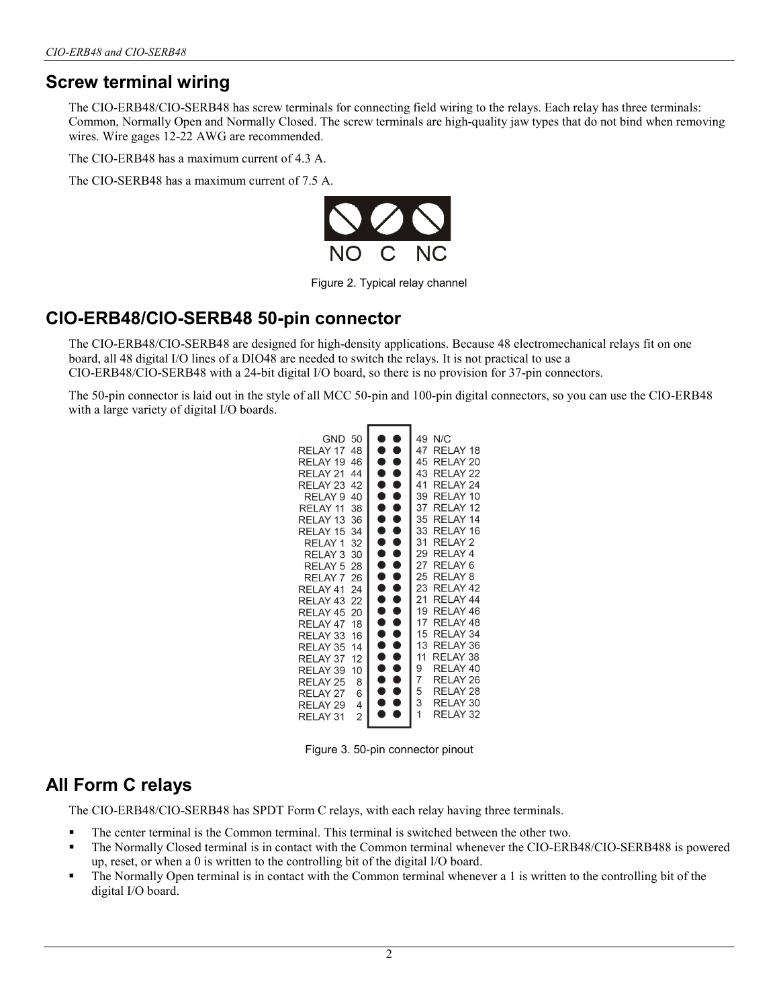### **Screw terminal wiring**

The CIO-ERB48/CIO-SERB48 has screw terminals for connecting field wiring to the relays. Each relay has three terminals: Common, Normally Open and Normally Closed. The screw terminals are high-quality jaw types that do not bind when removing wires. Wire gages 12-22 AWG are recommended.

The CIO-ERB48 has a maximum current of 4.3 A.

The CIO-SERB48 has a maximum current of 7.5 A.



Figure 2. Typical relay channel

#### **CIO-ERB48/CIO-SERB48 50-pin connector**

The CIO-ERB48/CIO-SERB48 are designed for high-density applications. Because 48 electromechanical relays fit on one board, all 48 digital I/O lines of a DIO48 are needed to switch the relays. It is not practical to use a CIO-ERB48/CIO-SERB48 with a 24-bit digital I/O board, so there is no provision for 37-pin connectors.

The 50-pin connector is laid out in the style of all MCC 50-pin and 100-pin digital connectors, so you can use the CIO-ERB48 with a large variety of digital I/O boards.

| 50<br>GND<br>48<br>RELAY 17<br>46<br>RELAY 19<br>44<br>RELAY 21<br>42<br>RELAY 23<br>40<br>RELAY <sub>9</sub><br>38<br>RELAY 11<br>RELAY 13<br>36<br>34<br>RELAY 15<br>32<br>RELAY 1<br>30<br>RELAY 3<br>RELAY <sub>5</sub><br>28<br>26<br>RELAY <sub>7</sub> | C<br>$\bullet$<br>$\bullet$<br>●<br>$\bullet$<br>●<br>$\bullet$<br>$\bullet$<br>O<br>۸<br>Δ<br>e<br>A<br>Ñ<br>Ð<br>O<br>Q<br>Ñ<br>ð<br>O<br>D<br>Q | 49<br>N/C<br>47<br>RELAY 18<br>45<br>RELAY 20<br>43<br>RELAY 22<br>41<br>RELAY 24<br>39<br>RELAY 10<br>37<br>RELAY 12<br>35<br>RELAY 14<br>33<br>RELAY 16<br>31<br>RELAY 2<br>29<br>RELAY 4<br>27<br>RELAY 6<br>25<br>RELAY 8 |
|---------------------------------------------------------------------------------------------------------------------------------------------------------------------------------------------------------------------------------------------------------------|----------------------------------------------------------------------------------------------------------------------------------------------------|-------------------------------------------------------------------------------------------------------------------------------------------------------------------------------------------------------------------------------|
| RELAY 41<br>24                                                                                                                                                                                                                                                | ●<br>C                                                                                                                                             | 23<br>RELAY 42                                                                                                                                                                                                                |
| RELAY 43<br>22                                                                                                                                                                                                                                                | C                                                                                                                                                  | 21<br>RELAY 44                                                                                                                                                                                                                |
| RELAY 45<br>20                                                                                                                                                                                                                                                | $\bullet$<br>A<br>$\bullet$                                                                                                                        | 19<br>RELAY 46<br>17                                                                                                                                                                                                          |
| 18<br>RELAY 47                                                                                                                                                                                                                                                | $\bullet$                                                                                                                                          | RELAY 48<br>15<br>RELAY 34                                                                                                                                                                                                    |
| 16<br>RELAY 33                                                                                                                                                                                                                                                | C                                                                                                                                                  | 13<br>RELAY 36                                                                                                                                                                                                                |
| RELAY 35<br>14<br>12                                                                                                                                                                                                                                          | e                                                                                                                                                  | 11<br>RELAY 38                                                                                                                                                                                                                |
| RELAY 37<br>10<br>RELAY 39                                                                                                                                                                                                                                    | C                                                                                                                                                  | 9<br>RELAY 40                                                                                                                                                                                                                 |
| 8<br><b>RFI AY 25</b>                                                                                                                                                                                                                                         | A                                                                                                                                                  | 7<br>RELAY 26                                                                                                                                                                                                                 |
| 6<br>RELAY 27                                                                                                                                                                                                                                                 | e                                                                                                                                                  | 5<br>RELAY 28                                                                                                                                                                                                                 |
| 4<br>RELAY 29                                                                                                                                                                                                                                                 | Α                                                                                                                                                  | 3<br>RELAY 30                                                                                                                                                                                                                 |
| $\overline{2}$<br>RELAY 31                                                                                                                                                                                                                                    |                                                                                                                                                    | 1<br>RFI AY 32                                                                                                                                                                                                                |
|                                                                                                                                                                                                                                                               |                                                                                                                                                    |                                                                                                                                                                                                                               |

Figure 3. 50-pin connector pinout

### **All Form C relays**

The CIO-ERB48/CIO-SERB48 has SPDT Form C relays, with each relay having three terminals.

- The center terminal is the Common terminal. This terminal is switched between the other two.
- The Normally Closed terminal is in contact with the Common terminal whenever the CIO-ERB48/CIO-SERB488 is powered up, reset, or when a 0 is written to the controlling bit of the digital I/O board.
- The Normally Open terminal is in contact with the Common terminal whenever a 1 is written to the controlling bit of the digital I/O board.